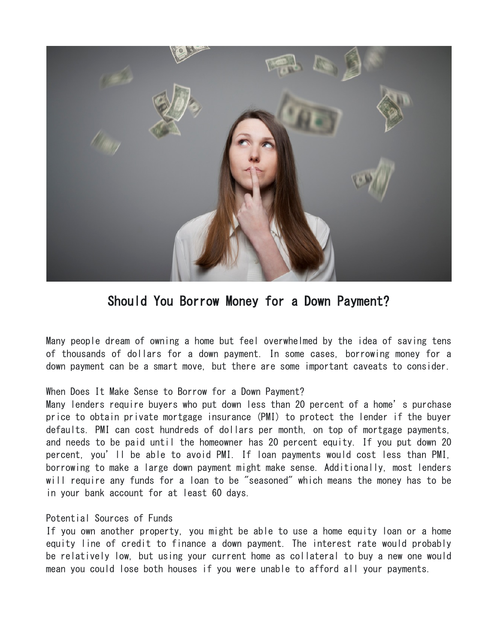

Should You Borrow Money for a Down Payment?

Many people dream of owning a home but feel overwhelmed by the idea of saving tens of thousands of dollars for a down payment. In some cases, borrowing money for a down payment can be a smart move, but there are some important caveats to consider.

## When Does It Make Sense to Borrow for a Down Payment?

Many lenders require buyers who put down less than 20 percent of a home's purchase price to obtain private mortgage insurance (PMI) to protect the lender if the buyer defaults. PMI can cost hundreds of dollars per month, on top of mortgage payments, and needs to be paid until the homeowner has 20 percent equity. If you put down 20 percent, you'll be able to avoid PMI. If loan payments would cost less than PMI, borrowing to make a large down payment might make sense. Additionally, most lenders will require any funds for a loan to be "seasoned" which means the money has to be in your bank account for at least 60 days.

## Potential Sources of Funds

If you own another property, you might be able to use a home equity loan or a home equity line of credit to finance a down payment. The interest rate would probably be relatively low, but using your current home as collateral to buy a new one would mean you could lose both houses if you were unable to afford all your payments.